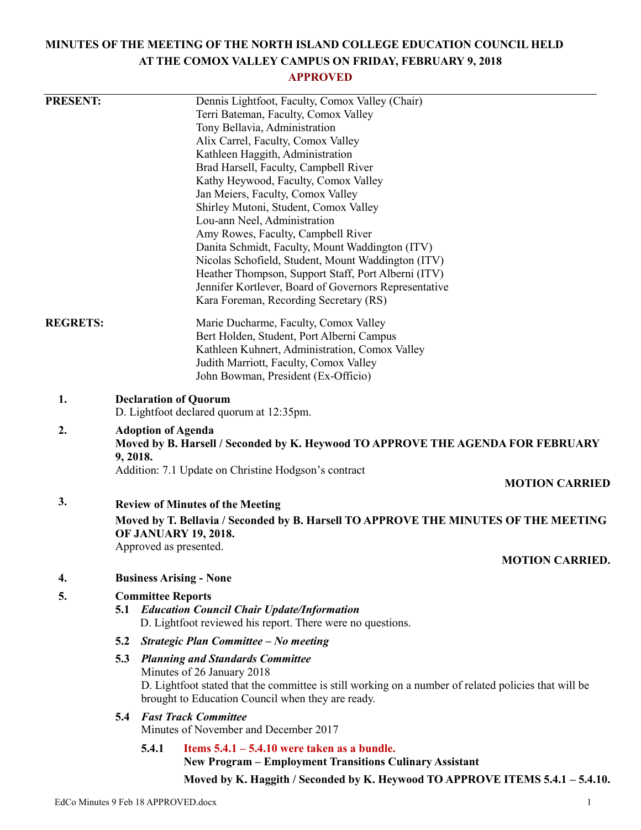# **MINUTES OF THE MEETING OF THE NORTH ISLAND COLLEGE EDUCATION COUNCIL HELD AT THE COMOX VALLEY CAMPUS ON FRIDAY, FEBRUARY 9, 2018**

# **APPROVED**

| <b>PRESENT:</b> | Dennis Lightfoot, Faculty, Comox Valley (Chair)<br>Terri Bateman, Faculty, Comox Valley<br>Tony Bellavia, Administration<br>Alix Carrel, Faculty, Comox Valley<br>Kathleen Haggith, Administration<br>Brad Harsell, Faculty, Campbell River |                                                                                                                                                                                                                                        |                                                                                                                                                                                                                                                                                                                                                                                                                                                             |  |  |
|-----------------|---------------------------------------------------------------------------------------------------------------------------------------------------------------------------------------------------------------------------------------------|----------------------------------------------------------------------------------------------------------------------------------------------------------------------------------------------------------------------------------------|-------------------------------------------------------------------------------------------------------------------------------------------------------------------------------------------------------------------------------------------------------------------------------------------------------------------------------------------------------------------------------------------------------------------------------------------------------------|--|--|
|                 |                                                                                                                                                                                                                                             |                                                                                                                                                                                                                                        | Kathy Heywood, Faculty, Comox Valley<br>Jan Meiers, Faculty, Comox Valley<br>Shirley Mutoni, Student, Comox Valley<br>Lou-ann Neel, Administration<br>Amy Rowes, Faculty, Campbell River<br>Danita Schmidt, Faculty, Mount Waddington (ITV)<br>Nicolas Schofield, Student, Mount Waddington (ITV)<br>Heather Thompson, Support Staff, Port Alberni (ITV)<br>Jennifer Kortlever, Board of Governors Representative<br>Kara Foreman, Recording Secretary (RS) |  |  |
| <b>REGRETS:</b> |                                                                                                                                                                                                                                             |                                                                                                                                                                                                                                        | Marie Ducharme, Faculty, Comox Valley<br>Bert Holden, Student, Port Alberni Campus<br>Kathleen Kuhnert, Administration, Comox Valley<br>Judith Marriott, Faculty, Comox Valley<br>John Bowman, President (Ex-Officio)                                                                                                                                                                                                                                       |  |  |
| 1.              | <b>Declaration of Quorum</b><br>D. Lightfoot declared quorum at 12:35pm.                                                                                                                                                                    |                                                                                                                                                                                                                                        |                                                                                                                                                                                                                                                                                                                                                                                                                                                             |  |  |
| 2.              | <b>Adoption of Agenda</b><br>Moved by B. Harsell / Seconded by K. Heywood TO APPROVE THE AGENDA FOR FEBRUARY<br>9, 2018.                                                                                                                    |                                                                                                                                                                                                                                        |                                                                                                                                                                                                                                                                                                                                                                                                                                                             |  |  |
|                 | Addition: 7.1 Update on Christine Hodgson's contract<br><b>MOTION CARRIED</b>                                                                                                                                                               |                                                                                                                                                                                                                                        |                                                                                                                                                                                                                                                                                                                                                                                                                                                             |  |  |
| 3.              | <b>Review of Minutes of the Meeting</b>                                                                                                                                                                                                     |                                                                                                                                                                                                                                        |                                                                                                                                                                                                                                                                                                                                                                                                                                                             |  |  |
|                 | Moved by T. Bellavia / Seconded by B. Harsell TO APPROVE THE MINUTES OF THE MEETING<br><b>OF JANUARY 19, 2018.</b><br>Approved as presented.                                                                                                |                                                                                                                                                                                                                                        |                                                                                                                                                                                                                                                                                                                                                                                                                                                             |  |  |
|                 |                                                                                                                                                                                                                                             |                                                                                                                                                                                                                                        | <b>MOTION CARRIED.</b>                                                                                                                                                                                                                                                                                                                                                                                                                                      |  |  |
| 4.              | <b>Business Arising - None</b>                                                                                                                                                                                                              |                                                                                                                                                                                                                                        |                                                                                                                                                                                                                                                                                                                                                                                                                                                             |  |  |
| 5.              | <b>Committee Reports</b><br><b>Education Council Chair Update/Information</b><br>5.1<br>D. Lightfoot reviewed his report. There were no questions.                                                                                          |                                                                                                                                                                                                                                        |                                                                                                                                                                                                                                                                                                                                                                                                                                                             |  |  |
|                 |                                                                                                                                                                                                                                             |                                                                                                                                                                                                                                        | 5.2 Strategic Plan Committee - No meeting                                                                                                                                                                                                                                                                                                                                                                                                                   |  |  |
|                 |                                                                                                                                                                                                                                             | <b>5.3 Planning and Standards Committee</b><br>Minutes of 26 January 2018<br>D. Lightfoot stated that the committee is still working on a number of related policies that will be<br>brought to Education Council when they are ready. |                                                                                                                                                                                                                                                                                                                                                                                                                                                             |  |  |
|                 |                                                                                                                                                                                                                                             |                                                                                                                                                                                                                                        | <b>5.4 Fast Track Committee</b><br>Minutes of November and December 2017                                                                                                                                                                                                                                                                                                                                                                                    |  |  |
|                 |                                                                                                                                                                                                                                             | 5.4.1                                                                                                                                                                                                                                  | Items $5.4.1 - 5.4.10$ were taken as a bundle.<br><b>New Program – Employment Transitions Culinary Assistant</b>                                                                                                                                                                                                                                                                                                                                            |  |  |
|                 |                                                                                                                                                                                                                                             |                                                                                                                                                                                                                                        | Moved by K. Haggith / Seconded by K. Heywood TO APPROVE ITEMS 5.4.1 - 5.4.10.                                                                                                                                                                                                                                                                                                                                                                               |  |  |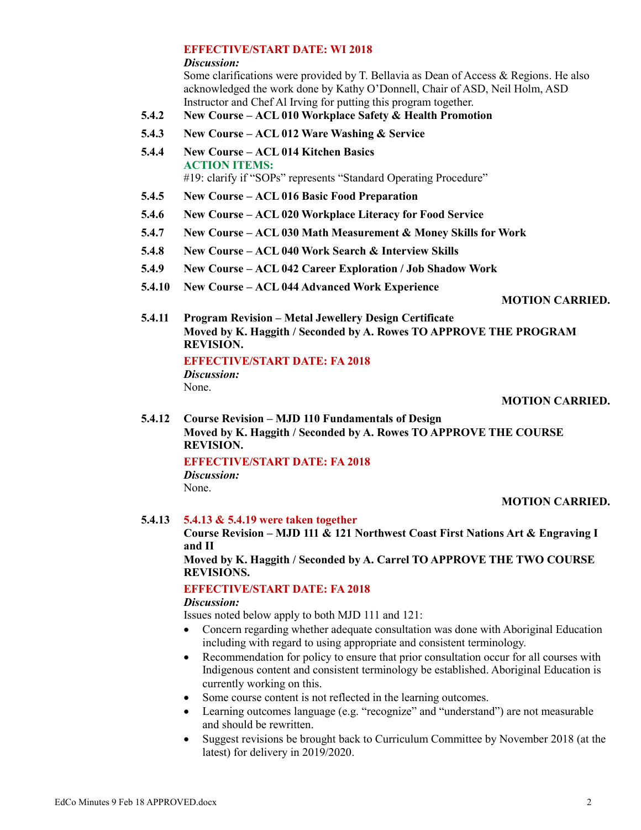### **EFFECTIVE/START DATE: WI 2018**

#### *Discussion:*

Some clarifications were provided by T. Bellavia as Dean of Access & Regions. He also acknowledged the work done by Kathy O'Donnell, Chair of ASD, Neil Holm, ASD Instructor and Chef Al Irving for putting this program together.

- **5.4.2 New Course – ACL 010 Workplace Safety & Health Promotion**
- **5.4.3 New Course – ACL 012 Ware Washing & Service**
- **5.4.4 New Course – ACL 014 Kitchen Basics ACTION ITEMS:** #19: clarify if "SOPs" represents "Standard Operating Procedure"
- **5.4.5 New Course – ACL 016 Basic Food Preparation**
- **5.4.6 New Course – ACL 020 Workplace Literacy for Food Service**
- **5.4.7 New Course – ACL 030 Math Measurement & Money Skills for Work**
- **5.4.8 New Course – ACL 040 Work Search & Interview Skills**
- **5.4.9 New Course – ACL 042 Career Exploration / Job Shadow Work**
- **5.4.10 New Course – ACL 044 Advanced Work Experience**

### **MOTION CARRIED.**

**5.4.11 Program Revision – Metal Jewellery Design Certificate Moved by K. Haggith / Seconded by A. Rowes TO APPROVE THE PROGRAM REVISION.**

# **EFFECTIVE/START DATE: FA 2018**

*Discussion:*

None.

### **MOTION CARRIED.**

**5.4.12 Course Revision – MJD 110 Fundamentals of Design Moved by K. Haggith / Seconded by A. Rowes TO APPROVE THE COURSE REVISION.**

### **EFFECTIVE/START DATE: FA 2018**

*Discussion:*

None.

### **MOTION CARRIED.**

### **5.4.13 5.4.13 & 5.4.19 were taken together**

**Course Revision – MJD 111 & 121 Northwest Coast First Nations Art & Engraving I and II**

**Moved by K. Haggith / Seconded by A. Carrel TO APPROVE THE TWO COURSE REVISIONS.**

# **EFFECTIVE/START DATE: FA 2018**

### *Discussion:*

Issues noted below apply to both MJD 111 and 121:

- Concern regarding whether adequate consultation was done with Aboriginal Education including with regard to using appropriate and consistent terminology.
- Recommendation for policy to ensure that prior consultation occur for all courses with Indigenous content and consistent terminology be established. Aboriginal Education is currently working on this.
- Some course content is not reflected in the learning outcomes.
- Learning outcomes language (e.g. "recognize" and "understand") are not measurable and should be rewritten.
- Suggest revisions be brought back to Curriculum Committee by November 2018 (at the latest) for delivery in 2019/2020.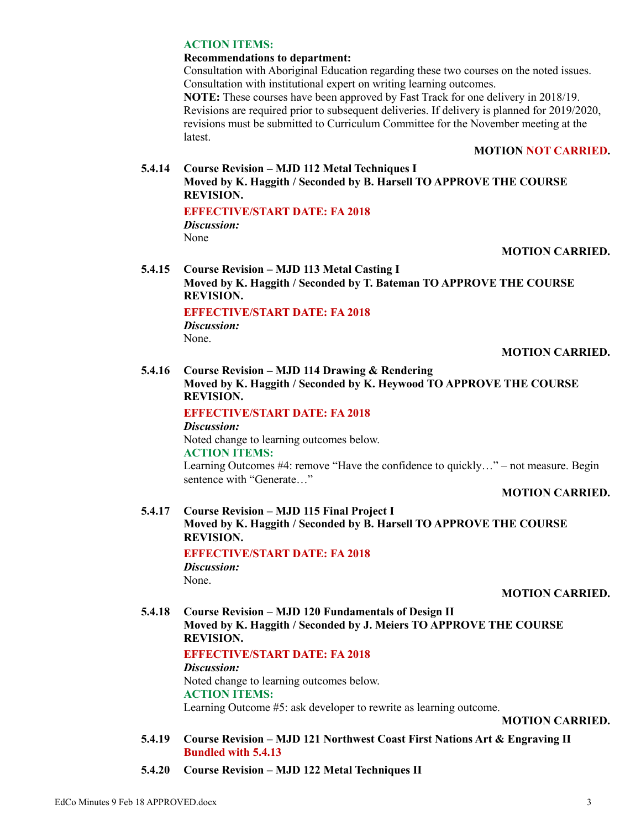### **ACTION ITEMS:**

### **Recommendations to department:**

Consultation with Aboriginal Education regarding these two courses on the noted issues. Consultation with institutional expert on writing learning outcomes.

**NOTE:** These courses have been approved by Fast Track for one delivery in 2018/19. Revisions are required prior to subsequent deliveries. If delivery is planned for 2019/2020, revisions must be submitted to Curriculum Committee for the November meeting at the latest.

### **MOTION NOT CARRIED.**

# **5.4.14 Course Revision – MJD 112 Metal Techniques I Moved by K. Haggith / Seconded by B. Harsell TO APPROVE THE COURSE REVISION.**

### **EFFECTIVE/START DATE: FA 2018**

*Discussion:* None

# **MOTION CARRIED.**

**5.4.15 Course Revision – MJD 113 Metal Casting I Moved by K. Haggith / Seconded by T. Bateman TO APPROVE THE COURSE REVISION.**

# **EFFECTIVE/START DATE: FA 2018**

*Discussion:* None.

# **MOTION CARRIED.**

### **5.4.16 Course Revision – MJD 114 Drawing & Rendering**

**Moved by K. Haggith / Seconded by K. Heywood TO APPROVE THE COURSE REVISION.**

### **EFFECTIVE/START DATE: FA 2018**

### *Discussion:*

Noted change to learning outcomes below. **ACTION ITEMS:**

Learning Outcomes #4: remove "Have the confidence to quickly…" – not measure. Begin sentence with "Generate…"

**MOTION CARRIED.**

# **5.4.17 Course Revision – MJD 115 Final Project I Moved by K. Haggith / Seconded by B. Harsell TO APPROVE THE COURSE REVISION.**

**EFFECTIVE/START DATE: FA 2018** *Discussion:*

None.

### **MOTION CARRIED.**

**5.4.18 Course Revision – MJD 120 Fundamentals of Design II Moved by K. Haggith / Seconded by J. Meiers TO APPROVE THE COURSE REVISION.**

### **EFFECTIVE/START DATE: FA 2018**

*Discussion:*

Noted change to learning outcomes below. **ACTION ITEMS:** Learning Outcome #5: ask developer to rewrite as learning outcome.

**MOTION CARRIED.**

**5.4.19 Course Revision – MJD 121 Northwest Coast First Nations Art & Engraving II Bundled with 5.4.13**

### **5.4.20 Course Revision – MJD 122 Metal Techniques II**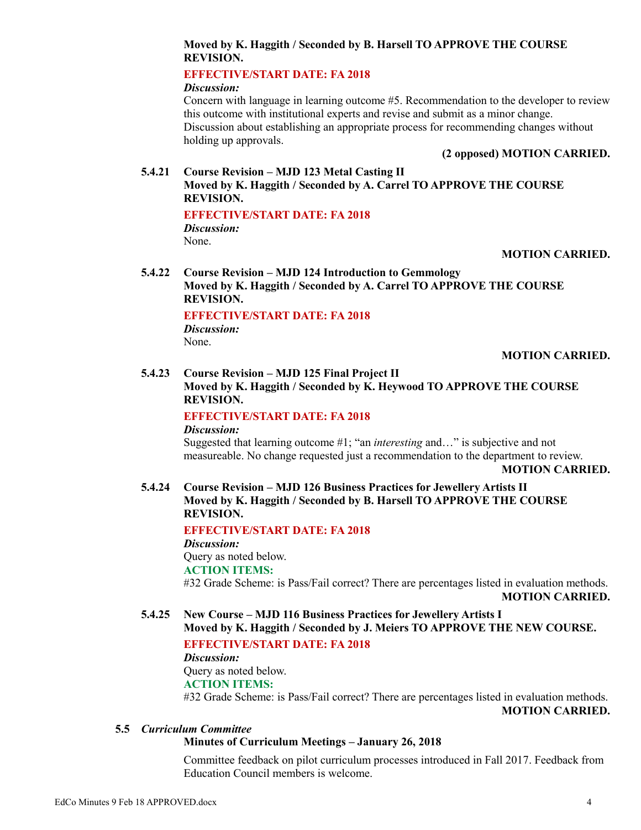### **Moved by K. Haggith / Seconded by B. Harsell TO APPROVE THE COURSE REVISION.**

# **EFFECTIVE/START DATE: FA 2018**

*Discussion:*

Concern with language in learning outcome #5. Recommendation to the developer to review this outcome with institutional experts and revise and submit as a minor change. Discussion about establishing an appropriate process for recommending changes without holding up approvals.

**(2 opposed) MOTION CARRIED.**

### **5.4.21 Course Revision – MJD 123 Metal Casting II Moved by K. Haggith / Seconded by A. Carrel TO APPROVE THE COURSE REVISION.**

### **EFFECTIVE/START DATE: FA 2018**

*Discussion:* None.

### **MOTION CARRIED.**

**5.4.22 Course Revision – MJD 124 Introduction to Gemmology Moved by K. Haggith / Seconded by A. Carrel TO APPROVE THE COURSE REVISION.**

### **EFFECTIVE/START DATE: FA 2018**

*Discussion:* None.

**MOTION CARRIED.**

# **5.4.23 Course Revision – MJD 125 Final Project II**

**Moved by K. Haggith / Seconded by K. Heywood TO APPROVE THE COURSE REVISION.**

# **EFFECTIVE/START DATE: FA 2018**

#### *Discussion:*

Suggested that learning outcome #1; "an *interesting* and…" is subjective and not measureable. No change requested just a recommendation to the department to review.

**MOTION CARRIED.**

**5.4.24 Course Revision – MJD 126 Business Practices for Jewellery Artists II Moved by K. Haggith / Seconded by B. Harsell TO APPROVE THE COURSE REVISION.**

### **EFFECTIVE/START DATE: FA 2018**

*Discussion:* Query as noted below. **ACTION ITEMS:** #32 Grade Scheme: is Pass/Fail correct? There are percentages listed in evaluation methods. **MOTION CARRIED.**

**5.4.25 New Course – MJD 116 Business Practices for Jewellery Artists I Moved by K. Haggith / Seconded by J. Meiers TO APPROVE THE NEW COURSE.**

### **EFFECTIVE/START DATE: FA 2018**

# *Discussion:* Query as noted below.

### **ACTION ITEMS:**

#32 Grade Scheme: is Pass/Fail correct? There are percentages listed in evaluation methods. **MOTION CARRIED.**

# **5.5** *Curriculum Committee*

### **Minutes of Curriculum Meetings – January 26, 2018**

Committee feedback on pilot curriculum processes introduced in Fall 2017. Feedback from Education Council members is welcome.